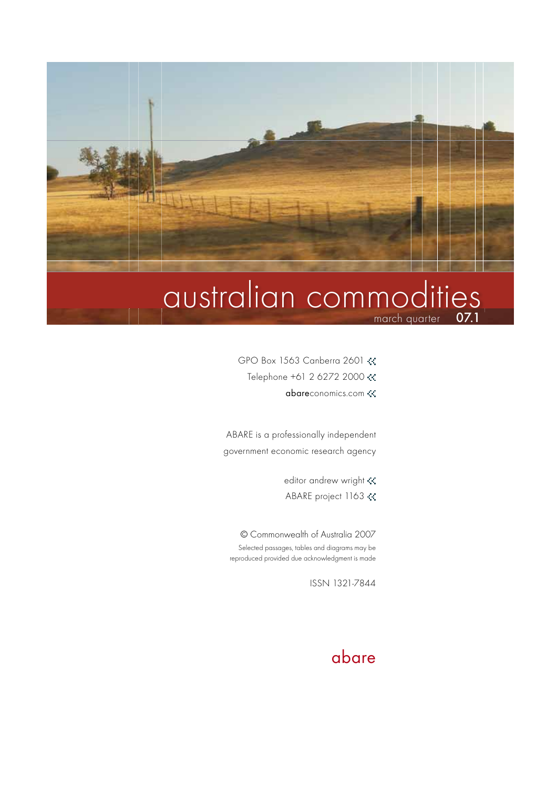

# march quarter **07.1** australian commodities

- GPO Box 1563 Canberra 2601
	- Telephone +61 2 6272 2000
		- abareconomics.com

ABARE is a professionally independent government economic research agency

editor andrew wright «

ABARE project 1163

© Commonwealth of Australia 2007 Selected passages, tables and diagrams may be reproduced provided due acknowledgment is made

ISSN 1321-7844

## abare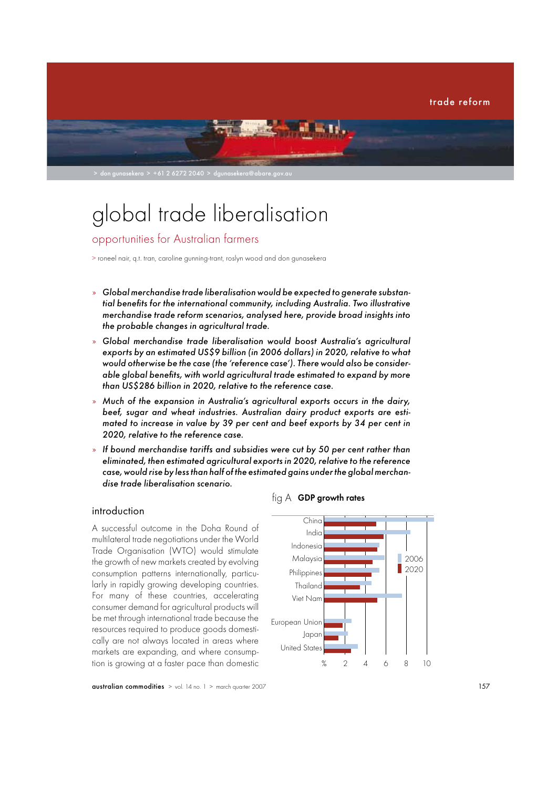

# global trade liberalisation

### opportunities for Australian farmers

> roneel nair, q.t. tran, caroline gunning-trant, roslyn wood and don gunasekera

- » Global merchandise trade liberalisation would be expected to generate substantial benefits for the international community, including Australia. Two illustrative merchandise trade reform scenarios, analysed here, provide broad insights into the probable changes in agricultural trade.
- » Global merchandise trade liberalisation would boost Australia's agricultural exports by an estimated US\$9 billion (in 2006 dollars) in 2020, relative to what would otherwise be the case (the 'reference case'). There would also be considerable global benefits, with world agricultural trade estimated to expand by more than US\$286 billion in 2020, relative to the reference case.
- » Much of the expansion in Australia's agricultural exports occurs in the dairy, beef, sugar and wheat industries. Australian dairy product exports are estimated to increase in value by 39 per cent and beef exports by 34 per cent in 2020, relative to the reference case.
- » If bound merchandise tariffs and subsidies were cut by 50 per cent rather than eliminated, then estimated agricultural exports in 2020, relative to the reference case, would rise by less than half of the estimated gains under the global merchandise trade liberalisation scenario.

#### introduction

A successful outcome in the Doha Round of multilateral trade negotiations under the World Trade Organisation (WTO) would stimulate the growth of new markets created by evolving consumption patterns internationally, particularly in rapidly growing developing countries. For many of these countries, accelerating consumer demand for agricultural products will be met through international trade because the resources required to produce goods domestically are not always located in areas where markets are expanding, and where consumption is growing at a faster pace than domestic



fig A GDP growth rates

**australian commodities**  $>$  vol. 14 no. 1  $>$  march quarter 2007 157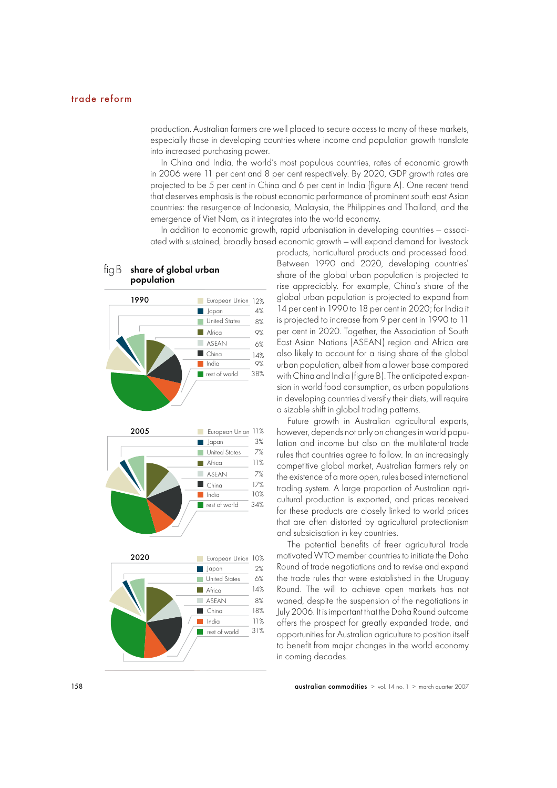production. Australian farmers are well placed to secure access to many of these markets, especially those in developing countries where income and population growth translate into increased purchasing power.

In China and India, the world's most populous countries, rates of economic growth in 2006 were 11 per cent and 8 per cent respectively. By 2020, GDP growth rates are projected to be 5 per cent in China and 6 per cent in India (figure A). One recent trend that deserves emphasis is the robust economic performance of prominent south east Asian countries: the resurgence of Indonesia, Malaysia, the Philippines and Thailand, and the emergence of Viet Nam, as it integrates into the world economy.

In addition to economic growth, rapid urbanisation in developing countries — associated with sustained, broadly based economic growth — will expand demand for livestock

> products, horticultural products and processed food. Between 1990 and 2020, developing countries' share of the global urban population is projected to rise appreciably. For example, China's share of the global urban population is projected to expand from 14 per cent in 1990 to 18 per cent in 2020; for India it is projected to increase from 9 per cent in 1990 to 11 per cent in 2020. Together, the Association of South East Asian Nations (ASEAN) region and Africa are also likely to account for a rising share of the global urban population, albeit from a lower base compared with China and India (figure B). The anticipated expansion in world food consumption, as urban populations in developing countries diversify their diets, will require a sizable shift in global trading patterns.

> Future growth in Australian agricultural exports, however, depends not only on changes in world population and income but also on the multilateral trade rules that countries agree to follow. In an increasingly competitive global market, Australian farmers rely on the existence of a more open, rules based international trading system. A large proportion of Australian agricultural production is exported, and prices received for these products are closely linked to world prices that are often distorted by agricultural protectionism and subsidisation in key countries.

> The potential benefits of freer agricultural trade motivated WTO member countries to initiate the Doha Round of trade negotiations and to revise and expand the trade rules that were established in the Uruguay Round. The will to achieve open markets has not waned, despite the suspension of the negotiations in July 2006. It is important that the Doha Round outcome offers the prospect for greatly expanded trade, and opportunities for Australian agriculture to position itself to benefit from major changes in the world economy in coming decades.



## $\overline{\text{figB}}$  share of global urban<br>population

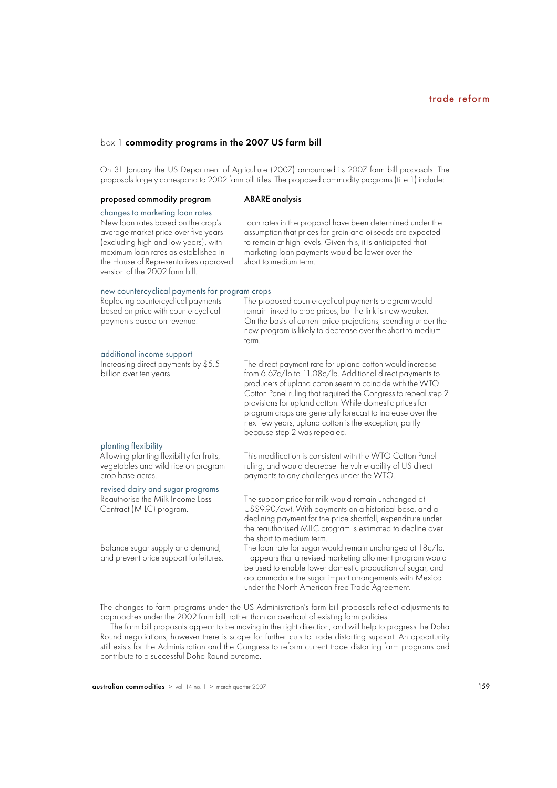#### box 1 commodity programs in the 2007 US farm bill

On 31 January the US Department of Agriculture (2007) announced its 2007 farm bill proposals. The proposals largely correspond to 2002 farm bill titles. The proposed commodity programs (title 1) include:

#### proposed commodity program ABARE analysis

changes to marketing loan rates<br>New loan rates based on the crop's the House of Representatives approved version of the 2002 farm bill.

New loan rates based on the crop's Loan rates in the proposal have been determined under the average market price over five years assumption that prices for grain and oilseeds are expected average market price over five years assumption that prices for grain and oilseeds are expected<br>(excluding high and low years), with to remain at high levels. Given this, it is anticipated that (excluding high and low years), with to remain at high levels. Given this, it is anticipated that<br>maximum loan rates as established in the marketing loan payments would be lower over the marketing loan payments would be lower over the<br>short to medium term.

#### new countercyclical payments for program crops

| Replacing countercyclical payments<br>based on price with countercyclical<br>payments based on revenue. | The proposed countercyclical payments program would<br>remain linked to crop prices, but the link is now weaker.<br>On the basis of current price projections, spending under the<br>new program is likely to decrease over the short to medium<br>term.                                                                                                                                                                                                               |
|---------------------------------------------------------------------------------------------------------|------------------------------------------------------------------------------------------------------------------------------------------------------------------------------------------------------------------------------------------------------------------------------------------------------------------------------------------------------------------------------------------------------------------------------------------------------------------------|
| additional income support<br>Increasing direct payments by \$5.5<br>billion over ten years.             | The direct payment rate for upland cotton would increase<br>from 6.67c/lb to 11.08c/lb. Additional direct payments to<br>producers of upland cotton seem to coincide with the WTO<br>Cotton Panel ruling that required the Congress to repeal step 2<br>provisions for upland cotton. While domestic prices for<br>program crops are generally forecast to increase over the<br>next few years, upland cotton is the exception, partly<br>because step 2 was repealed. |
| planting flexibility                                                                                    |                                                                                                                                                                                                                                                                                                                                                                                                                                                                        |

revised dairy and sugar programs

the short to medium term.<br>Balance sugar supply and demand, The loan rate for sugar we

Allowing planting flexibility for fruits, This modification is consistent with the WTO Cotton Panel<br>vegetables and wild rice on program ruling, and would decrease the vulnerability of US direct vegetables and wild rice on program ruling, and would decrease the vulnerability of US direct<br>crop base acres. payments to any challenges under the WTO. payments to any challenges under the WTO.

Reauthorise the Milk Income Loss The support price for milk would remain unchanged at<br>Contract (MILC) program. US\$9.90/cwt. With payments on a historical base, an US\$9.90/cwt. With payments on a historical base, and a declining payment for the price shortfall, expenditure under the reauthorised MILC program is estimated to decline over

Balance sugar supply and demand, The loan rate for sugar would remain unchanged at 18c/lb.<br>Support for the integrance of the process that a revised marketing allotment program would It appears that a revised marketing allotment program would be used to enable lower domestic production of sugar, and accommodate the sugar import arrangements with Mexico under the North American Free Trade Agreement.

The changes to farm programs under the US Administration's farm bill proposals reflect adjustments to approaches under the 2002 farm bill, rather than an overhaul of existing farm policies.

The farm bill proposals appear to be moving in the right direction, and will help to progress the Doha Round negotiations, however there is scope for further cuts to trade distorting support. An opportunity still exists for the Administration and the Congress to reform current trade distorting farm programs and contribute to a successful Doha Round outcome.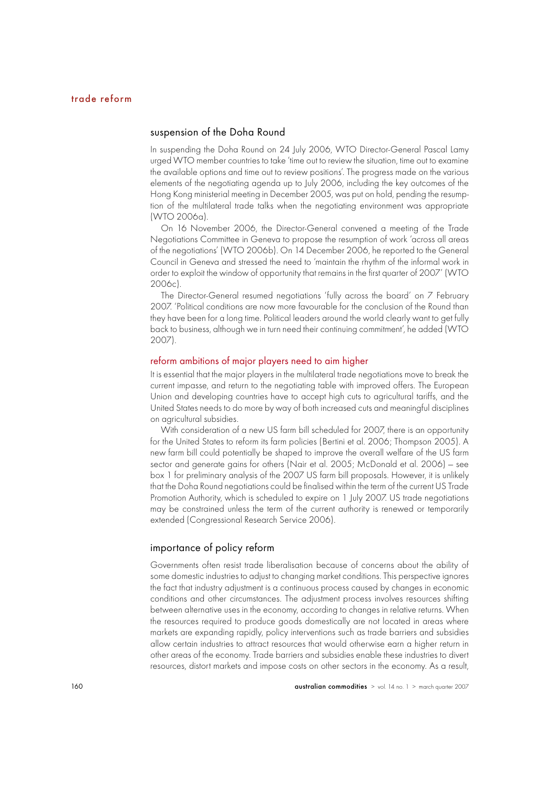#### suspension of the Doha Round

In suspending the Doha Round on 24 July 2006, WTO Director-General Pascal Lamy urged WTO member countries to take 'time out to review the situation, time out to examine the available options and time out to review positions'. The progress made on the various elements of the negotiating agenda up to July 2006, including the key outcomes of the Hong Kong ministerial meeting in December 2005, was put on hold, pending the resumption of the multilateral trade talks when the negotiating environment was appropriate (WTO 2006a).

On 16 November 2006, the Director-General convened a meeting of the Trade Negotiations Committee in Geneva to propose the resumption of work 'across all areas of the negotiations' (WTO 2006b). On 14 December 2006, he reported to the General Council in Geneva and stressed the need to 'maintain the rhythm of the informal work in order to exploit the window of opportunity that remains in the first quarter of 2007' (WTO 2006c).

The Director-General resumed negotiations 'fully across the board' on 7 February 2007. 'Political conditions are now more favourable for the conclusion of the Round than they have been for a long time. Political leaders around the world clearly want to get fully back to business, although we in turn need their continuing commitment', he added (WTO 2007).

#### reform ambitions of major players need to aim higher

It is essential that the major players in the multilateral trade negotiations move to break the current impasse, and return to the negotiating table with improved offers. The European Union and developing countries have to accept high cuts to agricultural tariffs, and the United States needs to do more by way of both increased cuts and meaningful disciplines on agricultural subsidies.

With consideration of a new US farm bill scheduled for 2007, there is an opportunity for the United States to reform its farm policies (Bertini et al. 2006; Thompson 2005). A new farm bill could potentially be shaped to improve the overall welfare of the US farm sector and generate gains for others (Nair et al. 2005; McDonald et al. 2006) — see box 1 for preliminary analysis of the 2007 US farm bill proposals. However, it is unlikely that the Doha Round negotiations could be finalised within the term of the current US Trade Promotion Authority, which is scheduled to expire on 1 July 2007. US trade negotiations may be constrained unless the term of the current authority is renewed or temporarily extended (Congressional Research Service 2006).

#### importance of policy reform

Governments often resist trade liberalisation because of concerns about the ability of some domestic industries to adjust to changing market conditions. This perspective ignores the fact that industry adjustment is a continuous process caused by changes in economic conditions and other circumstances. The adjustment process involves resources shifting between alternative uses in the economy, according to changes in relative returns. When the resources required to produce goods domestically are not located in areas where markets are expanding rapidly, policy interventions such as trade barriers and subsidies allow certain industries to attract resources that would otherwise earn a higher return in other areas of the economy. Trade barriers and subsidies enable these industries to divert resources, distort markets and impose costs on other sectors in the economy. As a result,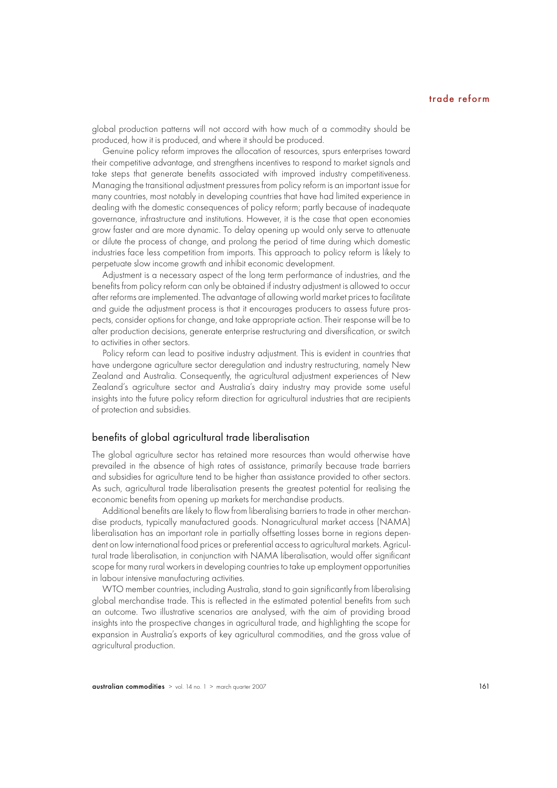global production patterns will not accord with how much of a commodity should be produced, how it is produced, and where it should be produced.

Genuine policy reform improves the allocation of resources, spurs enterprises toward their competitive advantage, and strengthens incentives to respond to market signals and take steps that generate benefits associated with improved industry competitiveness. Managing the transitional adjustment pressures from policy reform is an important issue for many countries, most notably in developing countries that have had limited experience in dealing with the domestic consequences of policy reform; partly because of inadequate governance, infrastructure and institutions. However, it is the case that open economies grow faster and are more dynamic. To delay opening up would only serve to attenuate or dilute the process of change, and prolong the period of time during which domestic industries face less competition from imports. This approach to policy reform is likely to perpetuate slow income growth and inhibit economic development.

Adjustment is a necessary aspect of the long term performance of industries, and the benefits from policy reform can only be obtained if industry adjustment is allowed to occur after reforms are implemented. The advantage of allowing world market prices to facilitate and guide the adjustment process is that it encourages producers to assess future prospects, consider options for change, and take appropriate action. Their response will be to alter production decisions, generate enterprise restructuring and diversification, or switch to activities in other sectors.

Policy reform can lead to positive industry adjustment. This is evident in countries that have undergone agriculture sector deregulation and industry restructuring, namely New Zealand and Australia. Consequently, the agricultural adjustment experiences of New Zealand's agriculture sector and Australia's dairy industry may provide some useful insights into the future policy reform direction for agricultural industries that are recipients of protection and subsidies.

#### benefits of global agricultural trade liberalisation

The global agriculture sector has retained more resources than would otherwise have prevailed in the absence of high rates of assistance, primarily because trade barriers and subsidies for agriculture tend to be higher than assistance provided to other sectors. As such, agricultural trade liberalisation presents the greatest potential for realising the economic benefits from opening up markets for merchandise products.

Additional benefits are likely to flow from liberalising barriers to trade in other merchandise products, typically manufactured goods. Nonagricultural market access (NAMA) liberalisation has an important role in partially offsetting losses borne in regions dependent on low international food prices or preferential access to agricultural markets. Agricultural trade liberalisation, in conjunction with NAMA liberalisation, would offer significant scope for many rural workers in developing countries to take up employment opportunities in labour intensive manufacturing activities.

WTO member countries, including Australia, stand to gain significantly from liberalising alobal merchandise trade. This is reflected in the estimated potential benefits from such an outcome. Two illustrative scenarios are analysed, with the aim of providing broad insights into the prospective changes in agricultural trade, and highlighting the scope for expansion in Australia's exports of key agricultural commodities, and the gross value of agricultural production.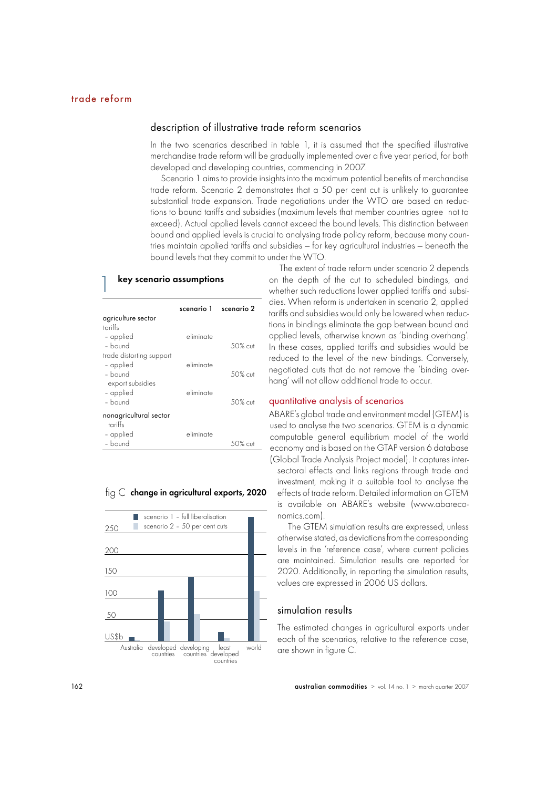#### description of illustrative trade reform scenarios

In the two scenarios described in table 1, it is assumed that the specified illustrative merchandise trade reform will be gradually implemented over a five year period, for both developed and developing countries, commencing in 2007.

Scenario 1 aims to provide insights into the maximum potential benefits of merchandise trade reform. Scenario 2 demonstrates that a 50 per cent cut is unlikely to guarantee substantial trade expansion. Trade negotiations under the WTO are based on reductions to bound tariffs and subsidies (maximum levels that member countries agree not to exceed). Actual applied levels cannot exceed the bound levels. This distinction between bound and applied levels is crucial to analysing trade policy reform, because many countries maintain applied tariffs and subsidies — for key agricultural industries — beneath the bound levels that they commit to under the WTO.

#### key scenario assumptions

|                          | scenario 1 scenario 2 |             |
|--------------------------|-----------------------|-------------|
| agriculture sector       |                       |             |
| tariffs                  |                       |             |
| - applied                | eliminate             |             |
| $-$ hound                |                       | 50% cut     |
| trade distorting support |                       |             |
| - applied                | eliminate             |             |
| $-$ bound                |                       | $.50\%$ cut |
| export subsidies         |                       |             |
| - applied                | eliminate             |             |
| $-$ bound                |                       | 50% cut     |
| nonagricultural sector   |                       |             |
| tariffs                  |                       |             |
| - applied                | eliminate             |             |
| - bound                  |                       | 50% cut     |

#### $f$ ig  $\mathsf C$  change in agricultural exports, 2020



The extent of trade reform under scenario 2 depends on the depth of the cut to scheduled bindings, and whether such reductions lower applied tariffs and subsidies. When reform is undertaken in scenario 2, applied tariffs and subsidies would only be lowered when reductions in bindings eliminate the gap between bound and applied levels, otherwise known as 'binding overhang'. In these cases, applied tariffs and subsidies would be reduced to the level of the new bindings. Conversely, negotiated cuts that do not remove the 'binding overhang' will not allow additional trade to occur.

#### quantitative analysis of scenarios

ABARE's global trade and environment model (GTEM) is used to analyse the two scenarios. GTEM is a dynamic computable general equilibrium model of the world economy and is based on the GTAP version 6 database (Global Trade Analysis Project model). It captures intersectoral effects and links regions through trade and investment, making it a suitable tool to analyse the effects of trade reform. Detailed information on GTEM is available on ABARE's website (www.abareconomics.com).

The GTEM simulation results are expressed, unless otherwise stated, as deviations from the corresponding levels in the 'reference case', where current policies are maintained. Simulation results are reported for 2020. Additionally, in reporting the simulation results, values are expressed in 2006 US dollars.

#### simulation results

The estimated changes in agricultural exports under each of the scenarios, relative to the reference case, are shown in figure C.

162 australian commodities > vol. 14 no. 1 > march quarter 2007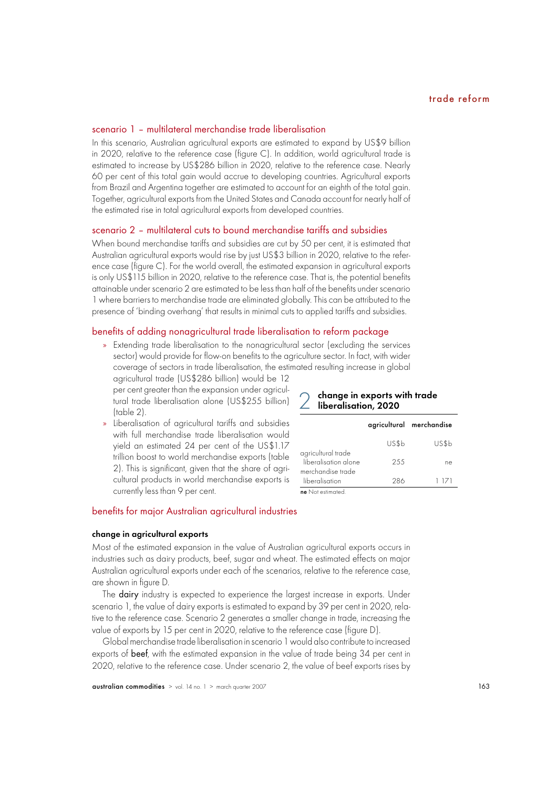#### scenario 1 – multilateral merchandise trade liberalisation

In this scenario, Australian agricultural exports are estimated to expand by US\$9 billion in 2020, relative to the reference case (figure C). In addition, world agricultural trade is estimated to increase by US\$286 billion in 2020, relative to the reference case. Nearly 60 per cent of this total gain would accrue to developing countries. Agricultural exports from Brazil and Argentina together are estimated to account for an eighth of the total gain. Together, agricultural exports from the United States and Canada account for nearly half of the estimated rise in total agricultural exports from developed countries.

#### scenario 2 – multilateral cuts to bound merchandise tariffs and subsidies

When bound merchandise tariffs and subsidies are cut by 50 per cent, it is estimated that Australian agricultural exports would rise by just US\$3 billion in 2020, relative to the reference case (figure C). For the world overall, the estimated expansion in agricultural exports is only US\$115 billion in 2020, relative to the reference case. That is, the potential benefits attainable under scenario 2 are estimated to be less than half of the benefits under scenario 1 where barriers to merchandise trade are eliminated globally. This can be attributed to the presence of 'binding overhang' that results in minimal cuts to applied tariffs and subsidies.

#### benefits of adding nonagricultural trade liberalisation to reform package

» Extending trade liberalisation to the nonagricultural sector (excluding the services sector) would provide for flow-on benefits to the agriculture sector. In fact, with wider coverage of sectors in trade liberalisation, the estimated resulting increase in global

agricultural trade (US\$286 billion) would be 12 per cent greater than the expansion under agricultural trade liberalisation alone (US\$255 billion) (table 2).

» Liberalisation of agricultural tariffs and subsidies with full merchandise trade liberalisation would yield an estimated 24 per cent of the US\$1.17 trillion boost to world merchandise exports (table 2). This is significant, given that the share of agricultural products in world merchandise exports is currently less than 9 per cent.

#### change in exports with trade liberalisation, 2020

|                                                                 |       | agricultural merchandise |
|-----------------------------------------------------------------|-------|--------------------------|
|                                                                 | US\$b | US\$b                    |
| agricultural trade<br>liberalisation alone<br>merchandise trade | 255   | ne                       |
| liberalisation                                                  | 286   | 1 171                    |
| ne Not estimated.                                               |       |                          |

#### benefits for major Australian agricultural industries

#### change in agricultural exports

Most of the estimated expansion in the value of Australian agricultural exports occurs in industries such as dairy products, beef, sugar and wheat. The estimated effects on major Australian agricultural exports under each of the scenarios, relative to the reference case, are shown in figure D.

The dairy industry is expected to experience the largest increase in exports. Under scenario 1, the value of dairy exports is estimated to expand by 39 per cent in 2020, relative to the reference case. Scenario 2 generates a smaller change in trade, increasing the value of exports by 15 per cent in 2020, relative to the reference case (figure D).

Global merchandise trade liberalisation in scenario 1 would also contribute to increased exports of beef, with the estimated expansion in the value of trade being 34 per cent in 2020, relative to the reference case. Under scenario 2, the value of beef exports rises by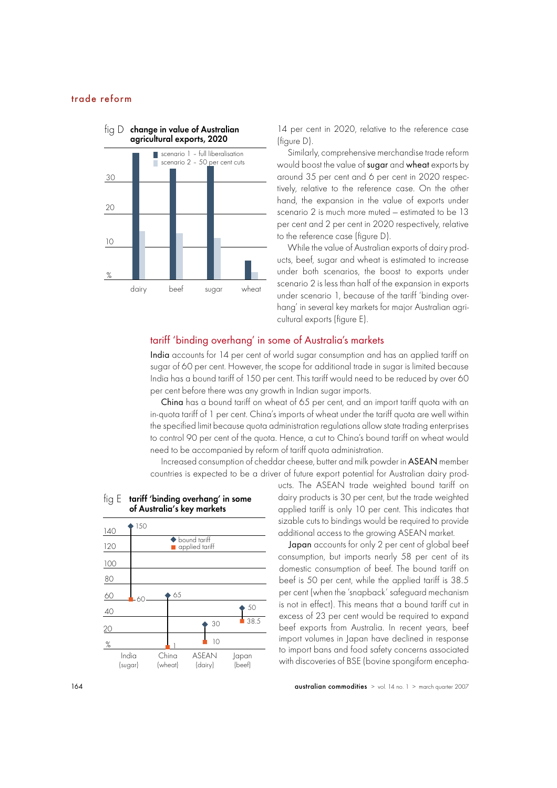

14 per cent in 2020, relative to the reference case (figure D).

Similarly, comprehensive merchandise trade reform would boost the value of sugar and wheat exports by around 35 per cent and 6 per cent in 2020 respectively, relative to the reference case. On the other hand, the expansion in the value of exports under scenario 2 is much more muted — estimated to be 13 per cent and 2 per cent in 2020 respectively, relative to the reference case (figure D).

While the value of Australian exports of dairy products, beef, sugar and wheat is estimated to increase under both scenarios, the boost to exports under scenario 2 is less than half of the expansion in exports under scenario 1, because of the tariff 'binding overhang' in several key markets for major Australian agricultural exports (figure E).

#### tariff 'binding overhang' in some of Australia's markets

India accounts for 14 per cent of world sugar consumption and has an applied tariff on sugar of 60 per cent. However, the scope for additional trade in sugar is limited because India has a bound tariff of 150 per cent. This tariff would need to be reduced by over 60 per cent before there was any growth in Indian sugar imports.

China has a bound tariff on wheat of 65 per cent, and an import tariff quota with an in-quota tariff of 1 per cent. China's imports of wheat under the tariff quota are well within the specified limit because quota administration regulations allow state trading enterprises to control 90 per cent of the quota. Hence, a cut to China's bound tariff on wheat would need to be accompanied by reform of tariff quota administration.

Increased consumption of cheddar cheese, butter and milk powder in ASEAN member countries is expected to be a driver of future export potential for Australian dairy prod-



#### $\mathop{\sf fig} \mathrel{\mathsf{E}}$  tariff 'binding overhang' in some of Australia's key markets

ucts. The ASEAN trade weighted bound tariff on dairy products is 30 per cent, but the trade weighted applied tariff is only 10 per cent. This indicates that sizable cuts to bindings would be required to provide

additional access to the growing ASEAN market.

Japan accounts for only 2 per cent of global beef consumption, but imports nearly 58 per cent of its domestic consumption of beef. The bound tariff on beef is 50 per cent, while the applied tariff is 38.5 per cent (when the 'snapback' safeguard mechanism is not in effect). This means that a bound tariff cut in excess of 23 per cent would be required to expand beef exports from Australia. In recent years, beef import volumes in Japan have declined in response to import bans and food safety concerns associated with discoveries of BSE (bovine spongiform encepha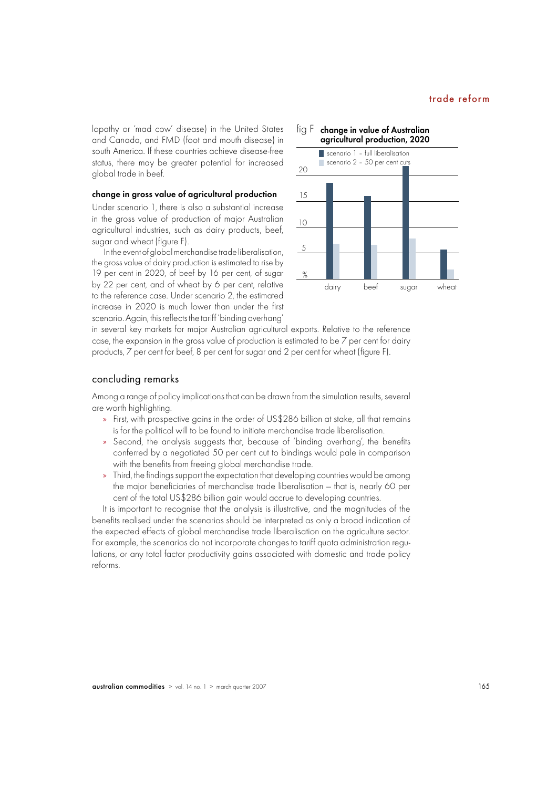lopathy or 'mad cow' disease) in the United States and Canada, and FMD (foot and mouth disease) in south America. If these countries achieve disease-free status, there may be greater potential for increased global trade in beef.

#### change in gross value of agricultural production

Under scenario 1, there is also a substantial increase in the gross value of production of major Australian agricultural industries, such as dairy products, beef, sugar and wheat (figure F).

 In the event of global merchandise trade liberalisation, the gross value of dairy production is estimated to rise by 19 per cent in 2020, of beef by 16 per cent, of sugar by 22 per cent, and of wheat by 6 per cent, relative to the reference case. Under scenario 2, the estimated increase in 2020 is much lower than under the first scenario. Again, this reflects the tariff 'binding overhang'



in several key markets for major Australian agricultural exports. Relative to the reference case, the expansion in the gross value of production is estimated to be 7 per cent for dairy products, 7 per cent for beef, 8 per cent for sugar and 2 per cent for wheat (figure F).

#### concluding remarks

Among a range of policy implications that can be drawn from the simulation results, several are worth highlighting.

- » First, with prospective gains in the order of US\$286 billion at stake, all that remains is for the political will to be found to initiate merchandise trade liberalisation.
- » Second, the analysis suggests that, because of 'binding overhang', the benefits conferred by a negotiated 50 per cent cut to bindings would pale in comparison with the benefits from freeing global merchandise trade.
- Third, the findings support the expectation that developing countries would be among the major beneficiaries of merchandise trade liberalisation - that is, nearly 60 per cent of the total US\$286 billion gain would accrue to developing countries.

It is important to recognise that the analysis is illustrative, and the magnitudes of the benefits realised under the scenarios should be interpreted as only a broad indication of the expected effects of global merchandise trade liberalisation on the agriculture sector. For example, the scenarios do not incorporate changes to tariff quota administration regulations, or any total factor productivity gains associated with domestic and trade policy reforms.